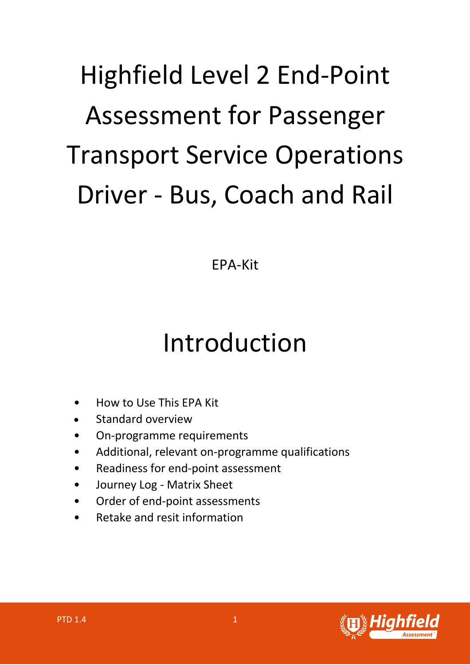# Highfield Level 2 End-Point Assessment for Passenger Transport Service Operations Driver - Bus, Coach and Rail

EPA-Kit

# Introduction

- How to Use This EPA Kit
- Standard overview
- On-programme requirements
- Additional, relevant on-programme qualifications
- Readiness for end-point assessment
- Journey Log Matrix Sheet
- Order of end-point assessments
- Retake and resit information

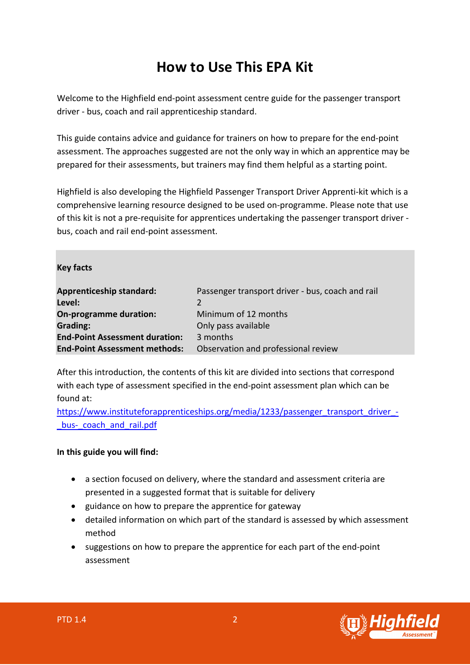# **How to Use This EPA Kit**

Welcome to the Highfield end-point assessment centre guide for the passenger transport driver - bus, coach and rail apprenticeship standard.

This guide contains advice and guidance for trainers on how to prepare for the end-point assessment. The approaches suggested are not the only way in which an apprentice may be prepared for their assessments, but trainers may find them helpful as a starting point.

Highfield is also developing the Highfield Passenger Transport Driver Apprenti-kit which is a comprehensive learning resource designed to be used on-programme. Please note that use of this kit is not a pre-requisite for apprentices undertaking the passenger transport driver bus, coach and rail end-point assessment.

#### **Key facts**

| <b>Apprenticeship standard:</b><br>Level: | Passenger transport driver - bus, coach and rail<br>2. |
|-------------------------------------------|--------------------------------------------------------|
| On-programme duration:                    | Minimum of 12 months                                   |
| <b>Grading:</b>                           | Only pass available                                    |
| <b>End-Point Assessment duration:</b>     | 3 months                                               |
| <b>End-Point Assessment methods:</b>      | Observation and professional review                    |

After this introduction, the contents of this kit are divided into sections that correspond with each type of assessment specified in the end-point assessment plan which can be found at:

https://www.instituteforapprenticeships.org/media/1233/passenger\_transport\_driver\_bus-coach and rail.pdf

#### **In this guide you will find:**

- a section focused on delivery, where the standard and assessment criteria are presented in a suggested format that is suitable for delivery
- guidance on how to prepare the apprentice for gateway
- detailed information on which part of the standard is assessed by which assessment method
- suggestions on how to prepare the apprentice for each part of the end-point assessment

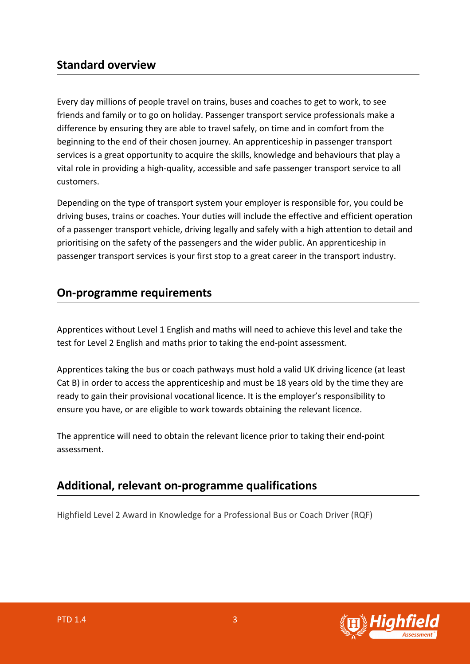#### **Standard overview**

Every day millions of people travel on trains, buses and coaches to get to work, to see friends and family or to go on holiday. Passenger transport service professionals make a difference by ensuring they are able to travel safely, on time and in comfort from the beginning to the end of their chosen journey. An apprenticeship in passenger transport services is a great opportunity to acquire the skills, knowledge and behaviours that play a vital role in providing a high-quality, accessible and safe passenger transport service to all customers.

Depending on the type of transport system your employer is responsible for, you could be driving buses, trains or coaches. Your duties will include the effective and efficient operation of a passenger transport vehicle, driving legally and safely with a high attention to detail and prioritising on the safety of the passengers and the wider public. An apprenticeship in passenger transport services is your first stop to a great career in the transport industry.

#### **On-programme requirements**

Apprentices without Level 1 English and maths will need to achieve this level and take the test for Level 2 English and maths prior to taking the end-point assessment.

Apprentices taking the bus or coach pathways must hold a valid UK driving licence (at least Cat B) in order to access the apprenticeship and must be 18 years old by the time they are ready to gain their provisional vocational licence. It is the employer's responsibility to ensure you have, or are eligible to work towards obtaining the relevant licence.

The apprentice will need to obtain the relevant licence prior to taking their end-point assessment.

### **Additional, relevant on-programme qualifications**

Highfield Level 2 Award in Knowledge for a Professional Bus or Coach Driver (RQF)

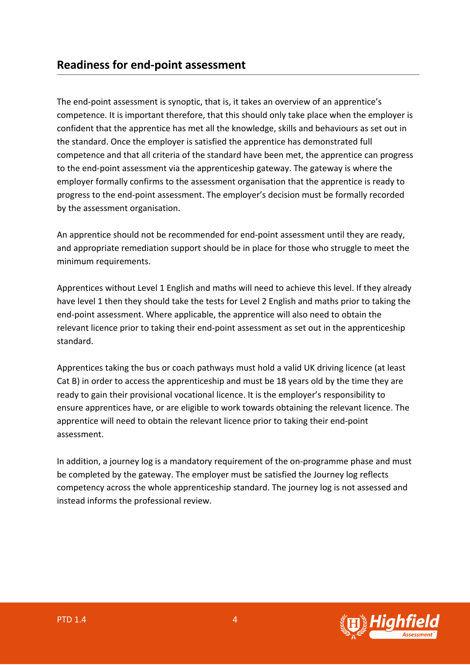The end-point assessment is synoptic, that is, it takes an overview of an apprentice's competence. It is important therefore, that this should only take place when the employer is confident that the apprentice has met all the knowledge, skills and behaviours as set out in the standard. Once the employer is satisfied the apprentice has demonstrated full competence and that all criteria of the standard have been met, the apprentice can progress to the end-point assessment via the apprenticeship gateway. The gateway is where the employer formally confirms to the assessment organisation that the apprentice is ready to progress to the end-point assessment. The employer's decision must be formally recorded by the assessment organisation.

An apprentice should not be recommended for end-point assessment until they are ready, and appropriate remediation support should be in place for those who struggle to meet the minimum requirements.

Apprentices without Level 1 English and maths will need to achieve this level. If they already have level 1 then they should take the tests for Level 2 English and maths prior to taking the end-point assessment. Where applicable, the apprentice will also need to obtain the relevant licence prior to taking their end-point assessment as set out in the apprenticeship standard.

Apprentices taking the bus or coach pathways must hold a valid UK driving licence (at least Cat B) in order to access the apprenticeship and must be 18 years old by the time they are ready to gain their provisional vocational licence. It is the employer's responsibility to ensure apprentices have, or are eligible to work towards obtaining the relevant licence. The apprentice will need to obtain the relevant licence prior to taking their end-point assessment.

In addition, a journey log is a mandatory requirement of the on-programme phase and must be completed by the gateway. The employer must be satisfied the Journey log reflects competency across the whole apprenticeship standard. The journey log is not assessed and instead informs the professional review.

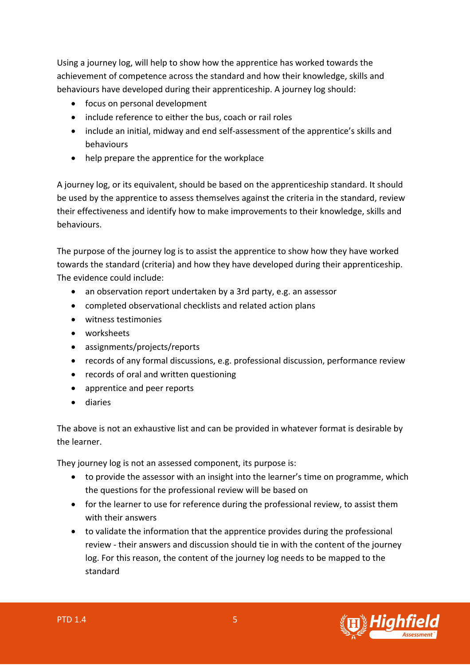Using a journey log, will help to show how the apprentice has worked towards the achievement of competence across the standard and how their knowledge, skills and behaviours have developed during their apprenticeship. A journey log should:

- focus on personal development
- include reference to either the bus, coach or rail roles
- include an initial, midway and end self-assessment of the apprentice's skills and behaviours
- help prepare the apprentice for the workplace

A journey log, or its equivalent, should be based on the apprenticeship standard. It should be used by the apprentice to assess themselves against the criteria in the standard, review their effectiveness and identify how to make improvements to their knowledge, skills and behaviours.

The purpose of the journey log is to assist the apprentice to show how they have worked towards the standard (criteria) and how they have developed during their apprenticeship. The evidence could include:

- an observation report undertaken by a 3rd party, e.g. an assessor
- completed observational checklists and related action plans
- witness testimonies
- worksheets
- assignments/projects/reports
- records of any formal discussions, e.g. professional discussion, performance review
- records of oral and written questioning
- apprentice and peer reports
- diaries

The above is not an exhaustive list and can be provided in whatever format is desirable by the learner.

They journey log is not an assessed component, its purpose is:

- to provide the assessor with an insight into the learner's time on programme, which the questions for the professional review will be based on
- for the learner to use for reference during the professional review, to assist them with their answers
- to validate the information that the apprentice provides during the professional review - their answers and discussion should tie in with the content of the journey log. For this reason, the content of the journey log needs to be mapped to the standard

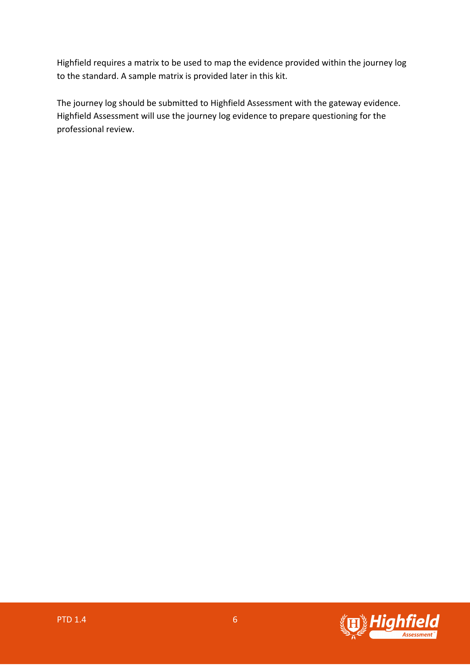Highfield requires a matrix to be used to map the evidence provided within the journey log to the standard. A sample matrix is provided later in this kit.

The journey log should be submitted to Highfield Assessment with the gateway evidence. Highfield Assessment will use the journey log evidence to prepare questioning for the professional review.

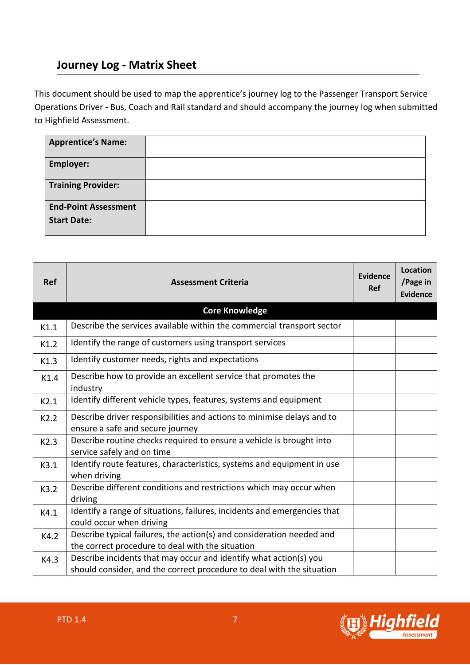## **Journey Log - Matrix Sheet**

This document should be used to map the apprentice's journey log to the Passenger Transport Service Operations Driver - Bus, Coach and Rail standard and should accompany the journey log when submitted to Highfield Assessment.

| <b>Apprentice's Name:</b>                         |  |
|---------------------------------------------------|--|
| Employer:                                         |  |
| <b>Training Provider:</b>                         |  |
| <b>End-Point Assessment</b><br><b>Start Date:</b> |  |

| <b>Ref</b> | <b>Assessment Criteria</b>                                                                                 | Evidence<br><b>Ref</b> | Location<br>/Page in<br><b>Evidence</b> |
|------------|------------------------------------------------------------------------------------------------------------|------------------------|-----------------------------------------|
|            | <b>Core Knowledge</b>                                                                                      |                        |                                         |
| K1.1       | Describe the services available within the commercial transport sector                                     |                        |                                         |
| K1.2       | Identify the range of customers using transport services                                                   |                        |                                         |
| K1.3       | Identify customer needs, rights and expectations                                                           |                        |                                         |
| K1.4       | Describe how to provide an excellent service that promotes the<br>industry                                 |                        |                                         |
| K2.1       | Identify different vehicle types, features, systems and equipment                                          |                        |                                         |
| K2.2       | Describe driver responsibilities and actions to minimise delays and to<br>ensure a safe and secure journey |                        |                                         |
| K2.3       | Describe routine checks required to ensure a vehicle is brought into<br>service safely and on time         |                        |                                         |
| K3.1       | Identify route features, characteristics, systems and equipment in use<br>when driving                     |                        |                                         |
| K3.2       | Describe different conditions and restrictions which may occur when<br>driving                             |                        |                                         |
| K4.1       | Identify a range of situations, failures, incidents and emergencies that<br>could occur when driving       |                        |                                         |
| K4.2       | Describe typical failures, the action(s) and consideration needed and                                      |                        |                                         |
|            | the correct procedure to deal with the situation                                                           |                        |                                         |
| K4.3       | Describe incidents that may occur and identify what action(s) you                                          |                        |                                         |
|            | should consider, and the correct procedure to deal with the situation                                      |                        |                                         |

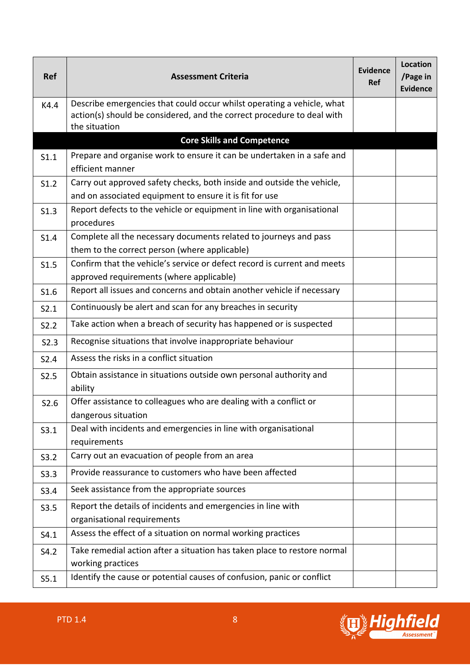| <b>Ref</b> | <b>Assessment Criteria</b>                                                                                                                       | Evidence<br>Ref | Location<br>/Page in<br><b>Evidence</b> |
|------------|--------------------------------------------------------------------------------------------------------------------------------------------------|-----------------|-----------------------------------------|
| K4.4       | Describe emergencies that could occur whilst operating a vehicle, what<br>action(s) should be considered, and the correct procedure to deal with |                 |                                         |
|            | the situation<br><b>Core Skills and Competence</b>                                                                                               |                 |                                         |
|            | Prepare and organise work to ensure it can be undertaken in a safe and                                                                           |                 |                                         |
| S1.1       | efficient manner                                                                                                                                 |                 |                                         |
| S1.2       | Carry out approved safety checks, both inside and outside the vehicle,                                                                           |                 |                                         |
|            | and on associated equipment to ensure it is fit for use                                                                                          |                 |                                         |
| S1.3       | Report defects to the vehicle or equipment in line with organisational<br>procedures                                                             |                 |                                         |
| S1.4       | Complete all the necessary documents related to journeys and pass<br>them to the correct person (where applicable)                               |                 |                                         |
| S1.5       | Confirm that the vehicle's service or defect record is current and meets<br>approved requirements (where applicable)                             |                 |                                         |
| S1.6       | Report all issues and concerns and obtain another vehicle if necessary                                                                           |                 |                                         |
| S2.1       | Continuously be alert and scan for any breaches in security                                                                                      |                 |                                         |
| S2.2       | Take action when a breach of security has happened or is suspected                                                                               |                 |                                         |
| S2.3       | Recognise situations that involve inappropriate behaviour                                                                                        |                 |                                         |
| S2.4       | Assess the risks in a conflict situation                                                                                                         |                 |                                         |
| S2.5       | Obtain assistance in situations outside own personal authority and<br>ability                                                                    |                 |                                         |
| S2.6       | Offer assistance to colleagues who are dealing with a conflict or<br>dangerous situation                                                         |                 |                                         |
| S3.1       | Deal with incidents and emergencies in line with organisational<br>requirements                                                                  |                 |                                         |
| S3.2       | Carry out an evacuation of people from an area                                                                                                   |                 |                                         |
| S3.3       | Provide reassurance to customers who have been affected                                                                                          |                 |                                         |
| S3.4       | Seek assistance from the appropriate sources                                                                                                     |                 |                                         |
| S3.5       | Report the details of incidents and emergencies in line with<br>organisational requirements                                                      |                 |                                         |
| S4.1       | Assess the effect of a situation on normal working practices                                                                                     |                 |                                         |
| S4.2       | Take remedial action after a situation has taken place to restore normal<br>working practices                                                    |                 |                                         |
| S5.1       | Identify the cause or potential causes of confusion, panic or conflict                                                                           |                 |                                         |

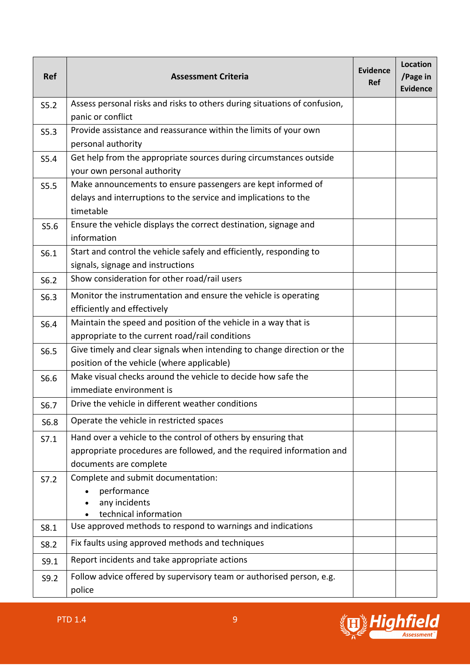| <b>Ref</b> | <b>Assessment Criteria</b>                                                                                                                                       | Evidence<br><b>Ref</b> | <b>Location</b><br>/Page in<br><b>Evidence</b> |
|------------|------------------------------------------------------------------------------------------------------------------------------------------------------------------|------------------------|------------------------------------------------|
| S5.2       | Assess personal risks and risks to others during situations of confusion,<br>panic or conflict                                                                   |                        |                                                |
| S5.3       | Provide assistance and reassurance within the limits of your own<br>personal authority                                                                           |                        |                                                |
| S5.4       | Get help from the appropriate sources during circumstances outside<br>your own personal authority                                                                |                        |                                                |
| S5.5       | Make announcements to ensure passengers are kept informed of<br>delays and interruptions to the service and implications to the<br>timetable                     |                        |                                                |
| S5.6       | Ensure the vehicle displays the correct destination, signage and<br>information                                                                                  |                        |                                                |
| S6.1       | Start and control the vehicle safely and efficiently, responding to<br>signals, signage and instructions                                                         |                        |                                                |
| S6.2       | Show consideration for other road/rail users                                                                                                                     |                        |                                                |
| S6.3       | Monitor the instrumentation and ensure the vehicle is operating<br>efficiently and effectively                                                                   |                        |                                                |
| S6.4       | Maintain the speed and position of the vehicle in a way that is<br>appropriate to the current road/rail conditions                                               |                        |                                                |
| S6.5       | Give timely and clear signals when intending to change direction or the<br>position of the vehicle (where applicable)                                            |                        |                                                |
| S6.6       | Make visual checks around the vehicle to decide how safe the<br>immediate environment is                                                                         |                        |                                                |
| S6.7       | Drive the vehicle in different weather conditions                                                                                                                |                        |                                                |
| S6.8       | Operate the vehicle in restricted spaces                                                                                                                         |                        |                                                |
| S7.1       | Hand over a vehicle to the control of others by ensuring that<br>appropriate procedures are followed, and the required information and<br>documents are complete |                        |                                                |
| S7.2       | Complete and submit documentation:<br>performance<br>any incidents<br>technical information                                                                      |                        |                                                |
| S8.1       | Use approved methods to respond to warnings and indications                                                                                                      |                        |                                                |
| S8.2       | Fix faults using approved methods and techniques                                                                                                                 |                        |                                                |
| S9.1       | Report incidents and take appropriate actions                                                                                                                    |                        |                                                |
| S9.2       | Follow advice offered by supervisory team or authorised person, e.g.<br>police                                                                                   |                        |                                                |

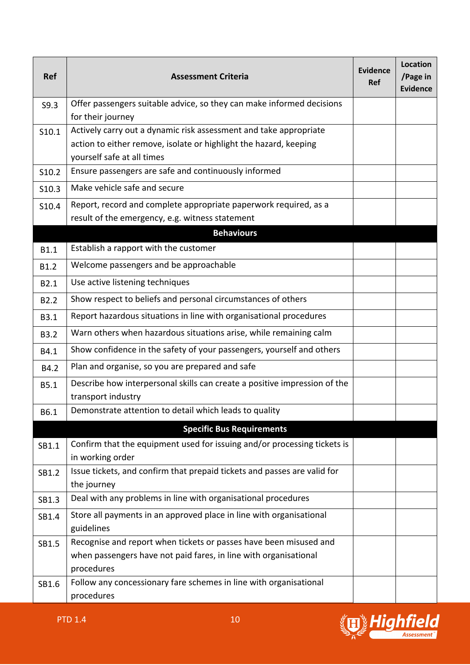| <b>Ref</b>       | <b>Assessment Criteria</b>                                                                                                                                           | Evidence<br><b>Ref</b> | <b>Location</b><br>/Page in<br><b>Evidence</b> |
|------------------|----------------------------------------------------------------------------------------------------------------------------------------------------------------------|------------------------|------------------------------------------------|
| S9.3             | Offer passengers suitable advice, so they can make informed decisions<br>for their journey                                                                           |                        |                                                |
| S10.1            | Actively carry out a dynamic risk assessment and take appropriate<br>action to either remove, isolate or highlight the hazard, keeping<br>yourself safe at all times |                        |                                                |
| S10.2            | Ensure passengers are safe and continuously informed                                                                                                                 |                        |                                                |
| S10.3            | Make vehicle safe and secure                                                                                                                                         |                        |                                                |
| S10.4            | Report, record and complete appropriate paperwork required, as a<br>result of the emergency, e.g. witness statement                                                  |                        |                                                |
|                  | <b>Behaviours</b>                                                                                                                                                    |                        |                                                |
| <b>B1.1</b>      | Establish a rapport with the customer                                                                                                                                |                        |                                                |
| B1.2             | Welcome passengers and be approachable                                                                                                                               |                        |                                                |
| B2.1             | Use active listening techniques                                                                                                                                      |                        |                                                |
| B <sub>2.2</sub> | Show respect to beliefs and personal circumstances of others                                                                                                         |                        |                                                |
| <b>B3.1</b>      | Report hazardous situations in line with organisational procedures                                                                                                   |                        |                                                |
| <b>B3.2</b>      | Warn others when hazardous situations arise, while remaining calm                                                                                                    |                        |                                                |
| B4.1             | Show confidence in the safety of your passengers, yourself and others                                                                                                |                        |                                                |
| B4.2             | Plan and organise, so you are prepared and safe                                                                                                                      |                        |                                                |
| <b>B5.1</b>      | Describe how interpersonal skills can create a positive impression of the<br>transport industry                                                                      |                        |                                                |
| B6.1             | Demonstrate attention to detail which leads to quality                                                                                                               |                        |                                                |
|                  | <b>Specific Bus Requirements</b>                                                                                                                                     |                        |                                                |
| SB1.1            | Confirm that the equipment used for issuing and/or processing tickets is<br>in working order                                                                         |                        |                                                |
| SB1.2            | Issue tickets, and confirm that prepaid tickets and passes are valid for<br>the journey                                                                              |                        |                                                |
| SB1.3            | Deal with any problems in line with organisational procedures                                                                                                        |                        |                                                |
| SB1.4            | Store all payments in an approved place in line with organisational<br>guidelines                                                                                    |                        |                                                |
| SB1.5            | Recognise and report when tickets or passes have been misused and<br>when passengers have not paid fares, in line with organisational<br>procedures                  |                        |                                                |
| SB1.6            | Follow any concessionary fare schemes in line with organisational<br>procedures                                                                                      |                        |                                                |

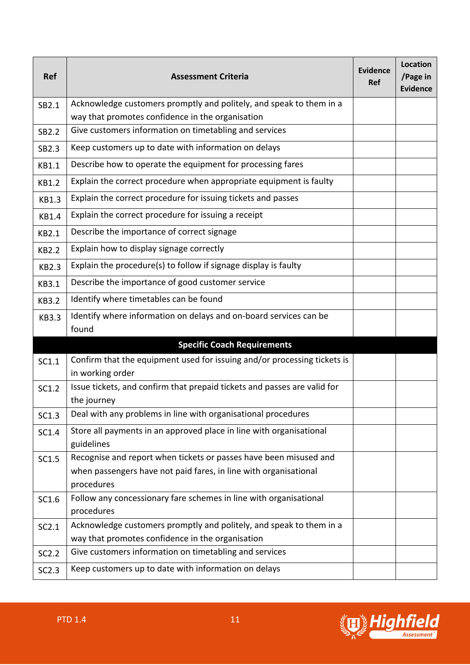| <b>Ref</b>   | <b>Assessment Criteria</b>                                                              | Evidence<br><b>Ref</b> | Location<br>/Page in<br><b>Evidence</b> |
|--------------|-----------------------------------------------------------------------------------------|------------------------|-----------------------------------------|
| SB2.1        | Acknowledge customers promptly and politely, and speak to them in a                     |                        |                                         |
|              | way that promotes confidence in the organisation                                        |                        |                                         |
| SB2.2        | Give customers information on timetabling and services                                  |                        |                                         |
| SB2.3        | Keep customers up to date with information on delays                                    |                        |                                         |
| <b>KB1.1</b> | Describe how to operate the equipment for processing fares                              |                        |                                         |
| <b>KB1.2</b> | Explain the correct procedure when appropriate equipment is faulty                      |                        |                                         |
| <b>KB1.3</b> | Explain the correct procedure for issuing tickets and passes                            |                        |                                         |
| <b>KB1.4</b> | Explain the correct procedure for issuing a receipt                                     |                        |                                         |
| <b>KB2.1</b> | Describe the importance of correct signage                                              |                        |                                         |
| <b>KB2.2</b> | Explain how to display signage correctly                                                |                        |                                         |
| <b>KB2.3</b> | Explain the procedure(s) to follow if signage display is faulty                         |                        |                                         |
| <b>KB3.1</b> | Describe the importance of good customer service                                        |                        |                                         |
| <b>KB3.2</b> | Identify where timetables can be found                                                  |                        |                                         |
| <b>KB3.3</b> | Identify where information on delays and on-board services can be                       |                        |                                         |
|              | found                                                                                   |                        |                                         |
|              | <b>Specific Coach Requirements</b>                                                      |                        |                                         |
| SC1.1        | Confirm that the equipment used for issuing and/or processing tickets is                |                        |                                         |
|              | in working order                                                                        |                        |                                         |
| SC1.2        | Issue tickets, and confirm that prepaid tickets and passes are valid for<br>the journey |                        |                                         |
| SC1.3        | Deal with any problems in line with organisational procedures                           |                        |                                         |
| SC1.4        | Store all payments in an approved place in line with organisational<br>guidelines       |                        |                                         |
| SC1.5        | Recognise and report when tickets or passes have been misused and                       |                        |                                         |
|              | when passengers have not paid fares, in line with organisational                        |                        |                                         |
|              | procedures                                                                              |                        |                                         |
| SC1.6        | Follow any concessionary fare schemes in line with organisational<br>procedures         |                        |                                         |
| SC2.1        | Acknowledge customers promptly and politely, and speak to them in a                     |                        |                                         |
|              | way that promotes confidence in the organisation                                        |                        |                                         |
| SC2.2        | Give customers information on timetabling and services                                  |                        |                                         |
| SC2.3        | Keep customers up to date with information on delays                                    |                        |                                         |

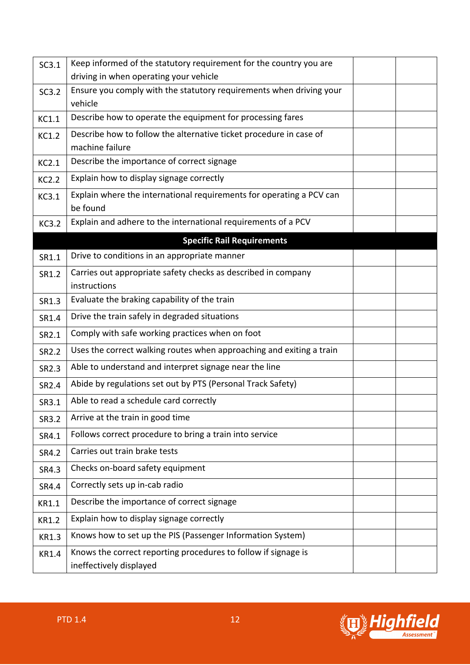| SC3.1        | Keep informed of the statutory requirement for the country you are                        |  |
|--------------|-------------------------------------------------------------------------------------------|--|
|              | driving in when operating your vehicle                                                    |  |
| SC3.2        | Ensure you comply with the statutory requirements when driving your<br>vehicle            |  |
| KC1.1        | Describe how to operate the equipment for processing fares                                |  |
| <b>KC1.2</b> | Describe how to follow the alternative ticket procedure in case of<br>machine failure     |  |
| KC2.1        | Describe the importance of correct signage                                                |  |
| <b>KC2.2</b> | Explain how to display signage correctly                                                  |  |
| KC3.1        | Explain where the international requirements for operating a PCV can<br>be found          |  |
| <b>KC3.2</b> | Explain and adhere to the international requirements of a PCV                             |  |
|              | <b>Specific Rail Requirements</b>                                                         |  |
| SR1.1        | Drive to conditions in an appropriate manner                                              |  |
| SR1.2        | Carries out appropriate safety checks as described in company<br>instructions             |  |
| SR1.3        | Evaluate the braking capability of the train                                              |  |
| SR1.4        | Drive the train safely in degraded situations                                             |  |
| SR2.1        | Comply with safe working practices when on foot                                           |  |
| SR2.2        | Uses the correct walking routes when approaching and exiting a train                      |  |
| SR2.3        | Able to understand and interpret signage near the line                                    |  |
| SR2.4        | Abide by regulations set out by PTS (Personal Track Safety)                               |  |
| SR3.1        | Able to read a schedule card correctly                                                    |  |
| SR3.2        | Arrive at the train in good time                                                          |  |
| SR4.1        | Follows correct procedure to bring a train into service                                   |  |
| SR4.2        | Carries out train brake tests                                                             |  |
| SR4.3        | Checks on-board safety equipment                                                          |  |
| SR4.4        | Correctly sets up in-cab radio                                                            |  |
| KR1.1        | Describe the importance of correct signage                                                |  |
| <b>KR1.2</b> | Explain how to display signage correctly                                                  |  |
| KR1.3        | Knows how to set up the PIS (Passenger Information System)                                |  |
| <b>KR1.4</b> | Knows the correct reporting procedures to follow if signage is<br>ineffectively displayed |  |

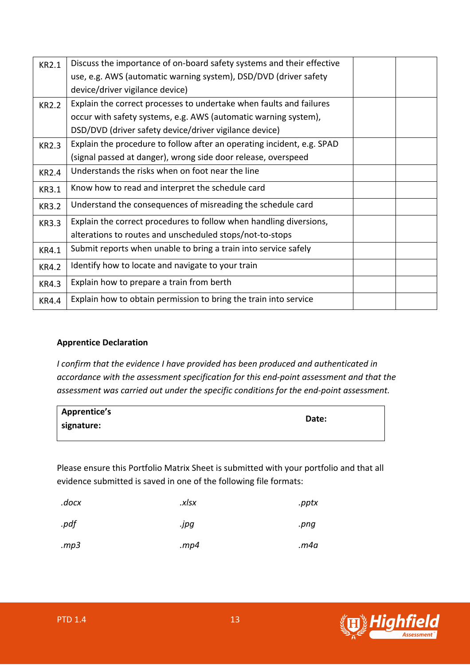| <b>KR2.1</b> | Discuss the importance of on-board safety systems and their effective  |  |
|--------------|------------------------------------------------------------------------|--|
|              | use, e.g. AWS (automatic warning system), DSD/DVD (driver safety       |  |
|              | device/driver vigilance device)                                        |  |
| <b>KR2.2</b> | Explain the correct processes to undertake when faults and failures    |  |
|              | occur with safety systems, e.g. AWS (automatic warning system),        |  |
|              | DSD/DVD (driver safety device/driver vigilance device)                 |  |
| <b>KR2.3</b> | Explain the procedure to follow after an operating incident, e.g. SPAD |  |
|              | (signal passed at danger), wrong side door release, overspeed          |  |
| <b>KR2.4</b> | Understands the risks when on foot near the line                       |  |
| <b>KR3.1</b> | Know how to read and interpret the schedule card                       |  |
| <b>KR3.2</b> | Understand the consequences of misreading the schedule card            |  |
| <b>KR3.3</b> | Explain the correct procedures to follow when handling diversions,     |  |
|              | alterations to routes and unscheduled stops/not-to-stops               |  |
| <b>KR4.1</b> | Submit reports when unable to bring a train into service safely        |  |
| <b>KR4.2</b> | Identify how to locate and navigate to your train                      |  |
| <b>KR4.3</b> | Explain how to prepare a train from berth                              |  |
| <b>KR4.4</b> | Explain how to obtain permission to bring the train into service       |  |

#### **Apprentice Declaration**

*I confirm that the evidence I have provided has been produced and authenticated in accordance with the assessment specification for this end-point assessment and that the assessment was carried out under the specific conditions for the end-point assessment.* 

| <b>Apprentice's</b> | Date: |
|---------------------|-------|
| signature:          |       |

Please ensure this Portfolio Matrix Sheet is submitted with your portfolio and that all evidence submitted is saved in one of the following file formats:

| .docx | .xlsx   | .pptx |
|-------|---------|-------|
| .pdf  | .jpg    | .png  |
| mp3   | . $mp4$ | m4a.  |